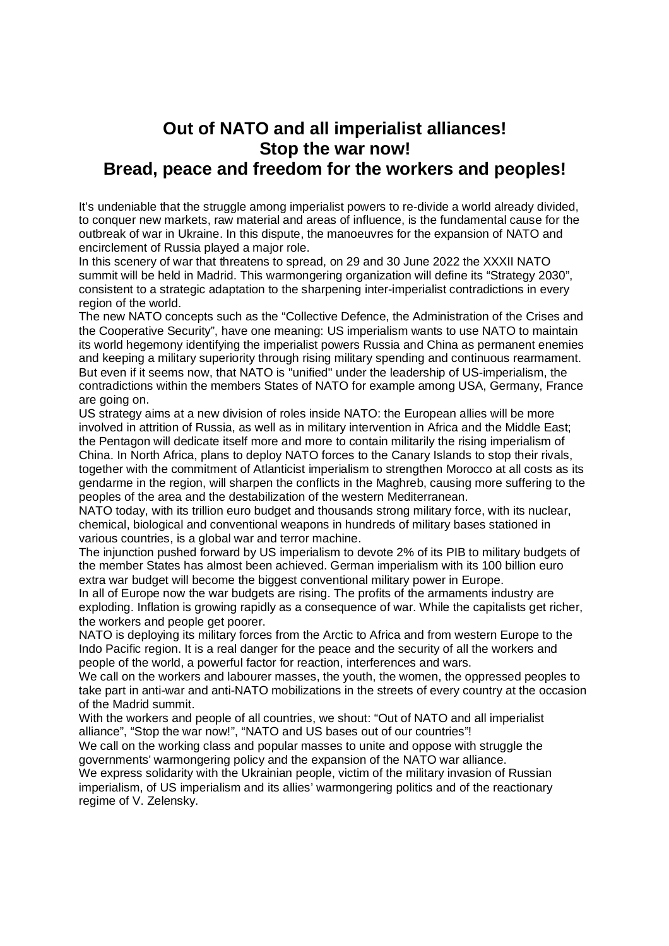## **Out of NATO and all imperialist alliances! Stop the war now! Bread, peace and freedom for the workers and peoples!**

It's undeniable that the struggle among imperialist powers to re-divide a world already divided, to conquer new markets, raw material and areas of influence, is the fundamental cause for the outbreak of war in Ukraine. In this dispute, the manoeuvres for the expansion of NATO and encirclement of Russia played a major role.

In this scenery of war that threatens to spread, on 29 and 30 June 2022 the XXXII NATO summit will be held in Madrid. This warmongering organization will define its "Strategy 2030", consistent to a strategic adaptation to the sharpening inter-imperialist contradictions in every region of the world.

The new NATO concepts such as the "Collective Defence, the Administration of the Crises and the Cooperative Security", have one meaning: US imperialism wants to use NATO to maintain its world hegemony identifying the imperialist powers Russia and China as permanent enemies and keeping a military superiority through rising military spending and continuous rearmament. But even if it seems now, that NATO is "unified" under the leadership of US-imperialism, the contradictions within the members States of NATO for example among USA, Germany, France are going on.

US strategy aims at a new division of roles inside NATO: the European allies will be more involved in attrition of Russia, as well as in military intervention in Africa and the Middle East; the Pentagon will dedicate itself more and more to contain militarily the rising imperialism of China. In North Africa, plans to deploy NATO forces to the Canary Islands to stop their rivals, together with the commitment of Atlanticist imperialism to strengthen Morocco at all costs as its gendarme in the region, will sharpen the conflicts in the Maghreb, causing more suffering to the peoples of the area and the destabilization of the western Mediterranean.

NATO today, with its trillion euro budget and thousands strong military force, with its nuclear, chemical, biological and conventional weapons in hundreds of military bases stationed in various countries, is a global war and terror machine.

The injunction pushed forward by US imperialism to devote 2% of its PIB to military budgets of the member States has almost been achieved. German imperialism with its 100 billion euro extra war budget will become the biggest conventional military power in Europe.

In all of Europe now the war budgets are rising. The profits of the armaments industry are exploding. Inflation is growing rapidly as a consequence of war. While the capitalists get richer, the workers and people get poorer.

NATO is deploying its military forces from the Arctic to Africa and from western Europe to the Indo Pacific region. It is a real danger for the peace and the security of all the workers and people of the world, a powerful factor for reaction, interferences and wars.

We call on the workers and labourer masses, the youth, the women, the oppressed peoples to take part in anti-war and anti-NATO mobilizations in the streets of every country at the occasion of the Madrid summit.

With the workers and people of all countries, we shout: "Out of NATO and all imperialist alliance", "Stop the war now!", "NATO and US bases out of our countries"!

We call on the working class and popular masses to unite and oppose with struggle the governments' warmongering policy and the expansion of the NATO war alliance.

We express solidarity with the Ukrainian people, victim of the military invasion of Russian imperialism, of US imperialism and its allies' warmongering politics and of the reactionary regime of V. Zelensky.